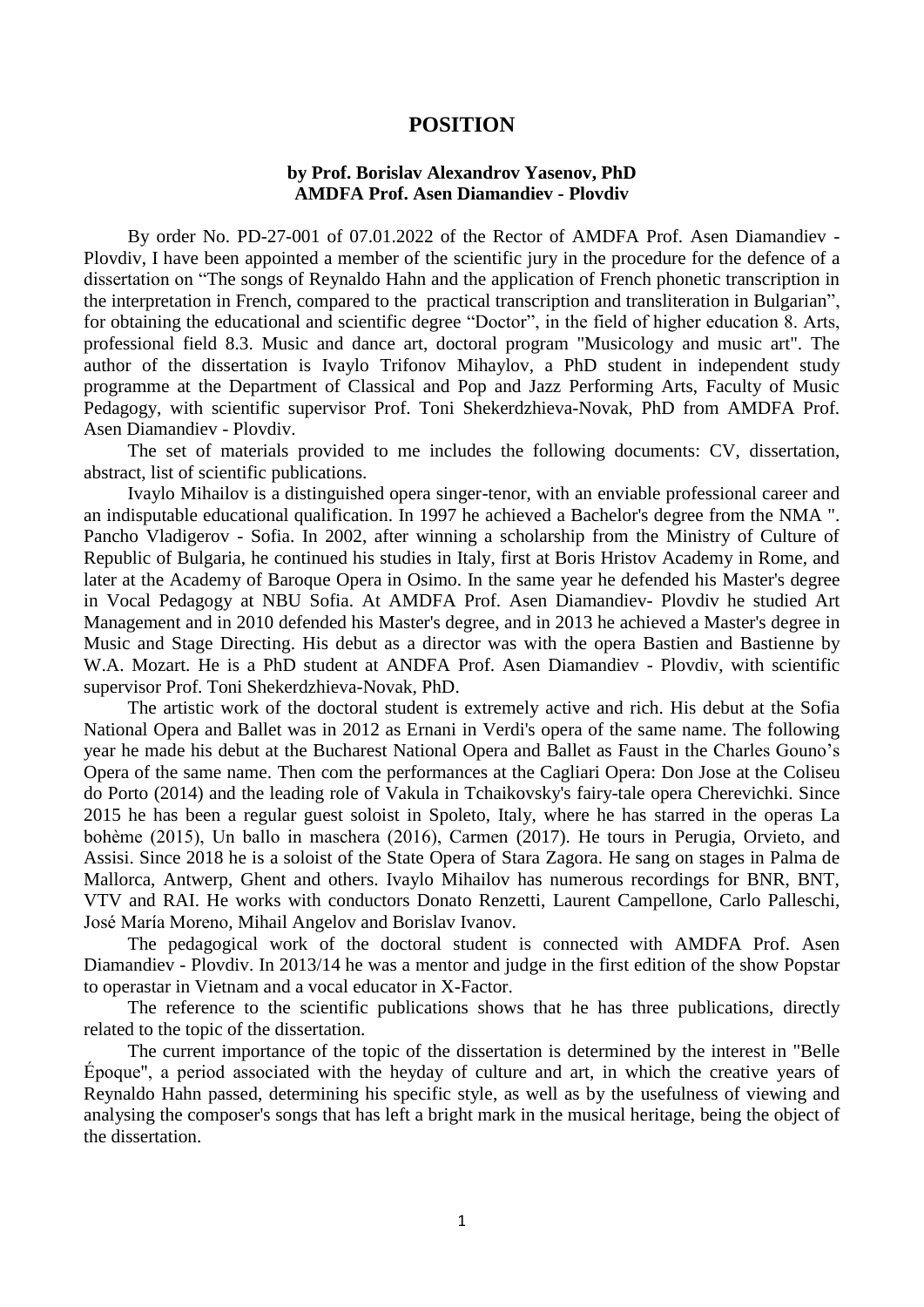## **POSITION**

## **by Prof. Borislav Alexandrov Yasenov, PhD AMDFA Prof. Asen Diamandiev - Plovdiv**

By order No. PD-27-001 of 07.01.2022 of the Rector of AMDFA Prof. Asen Diamandiev - Plovdiv, I have been appointed a member of the scientific jury in the procedure for the defence of a dissertation on "The songs of Reynaldo Hahn and the application of French phonetic transcription in the interpretation in French, compared to the practical transcription and transliteration in Bulgarian", for obtaining the educational and scientific degree "Doctor", in the field of higher education 8. Arts, professional field 8.3. Music and dance art, doctoral program "Musicology and music art". The author of the dissertation is Ivaylo Trifonov Mihaylov, a PhD student in independent study programme at the Department of Classical and Pop and Jazz Performing Arts, Faculty of Music Pedagogy, with scientific supervisor Prof. Toni Shekerdzhieva-Novak, PhD from AMDFA Prof. Asen Diamandiev - Plovdiv.

The set of materials provided to me includes the following documents: CV, dissertation, abstract, list of scientific publications.

Ivaylo Mihailov is a distinguished opera singer-tenor, with an enviable professional career and an indisputable educational qualification. In 1997 he achieved a Bachelor's degree from the NMA ". Pancho Vladigerov - Sofia. In 2002, after winning a scholarship from the Ministry of Culture of Republic of Bulgaria, he continued his studies in Italy, first at Boris Hristov Academy in Rome, and later at the Academy of Baroque Opera in Osimo. In the same year he defended his Master's degree in Vocal Pedagogy at NBU Sofia. At AMDFA Prof. Asen Diamandiev- Plovdiv he studied Art Management and in 2010 defended his Master's degree, and in 2013 he achieved a Master's degree in Music and Stage Directing. His debut as a director was with the opera Bastien and Bastienne by W.A. Mozart. He is a PhD student at ANDFA Prof. Asen Diamandiev - Plovdiv, with scientific supervisor Prof. Toni Shekerdzhieva-Novak, PhD.

The artistic work of the doctoral student is extremely active and rich. His debut at the Sofia National Opera and Ballet was in 2012 as Ernani in Verdi's opera of the same name. The following year he made his debut at the Bucharest National Opera and Ballet as Faust in the Charles Gouno's Opera of the same name. Then com the performances at the Cagliari Opera: Don Jose at the Coliseu do Porto (2014) and the leading role of Vakula in Tchaikovsky's fairy-tale opera Cherevichki. Since 2015 he has been a regular guest soloist in Spoleto, Italy, where he has starred in the operas La bohème (2015), Un ballo in maschera (2016), Carmen (2017). He tours in Perugia, Orvieto, and Assisi. Since 2018 he is a soloist of the State Opera of Stara Zagora. He sang on stages in Palma de Mallorca, Antwerp, Ghent and others. Ivaylo Mihailov has numerous recordings for BNR, BNT, VTV and RAI. He works with conductors Donato Renzetti, Laurent Campellone, Carlo Palleschi, José María Moreno, Mihail Angelov and Borislav Ivanov.

The pedagogical work of the doctoral student is connected with AMDFA Prof. Asen Diamandiev - Plovdiv. In 2013/14 he was a mentor and judge in the first edition of the show Popstar to operastar in Vietnam and a vocal educator in X-Factor.

The reference to the scientific publications shows that he has three publications, directly related to the topic of the dissertation.

The current importance of the topic of the dissertation is determined by the interest in "Belle Époque", a period associated with the heyday of culture and art, in which the creative years of Reynaldo Hahn passed, determining his specific style, as well as by the usefulness of viewing and analysing the composer's songs that has left a bright mark in the musical heritage, being the object of the dissertation.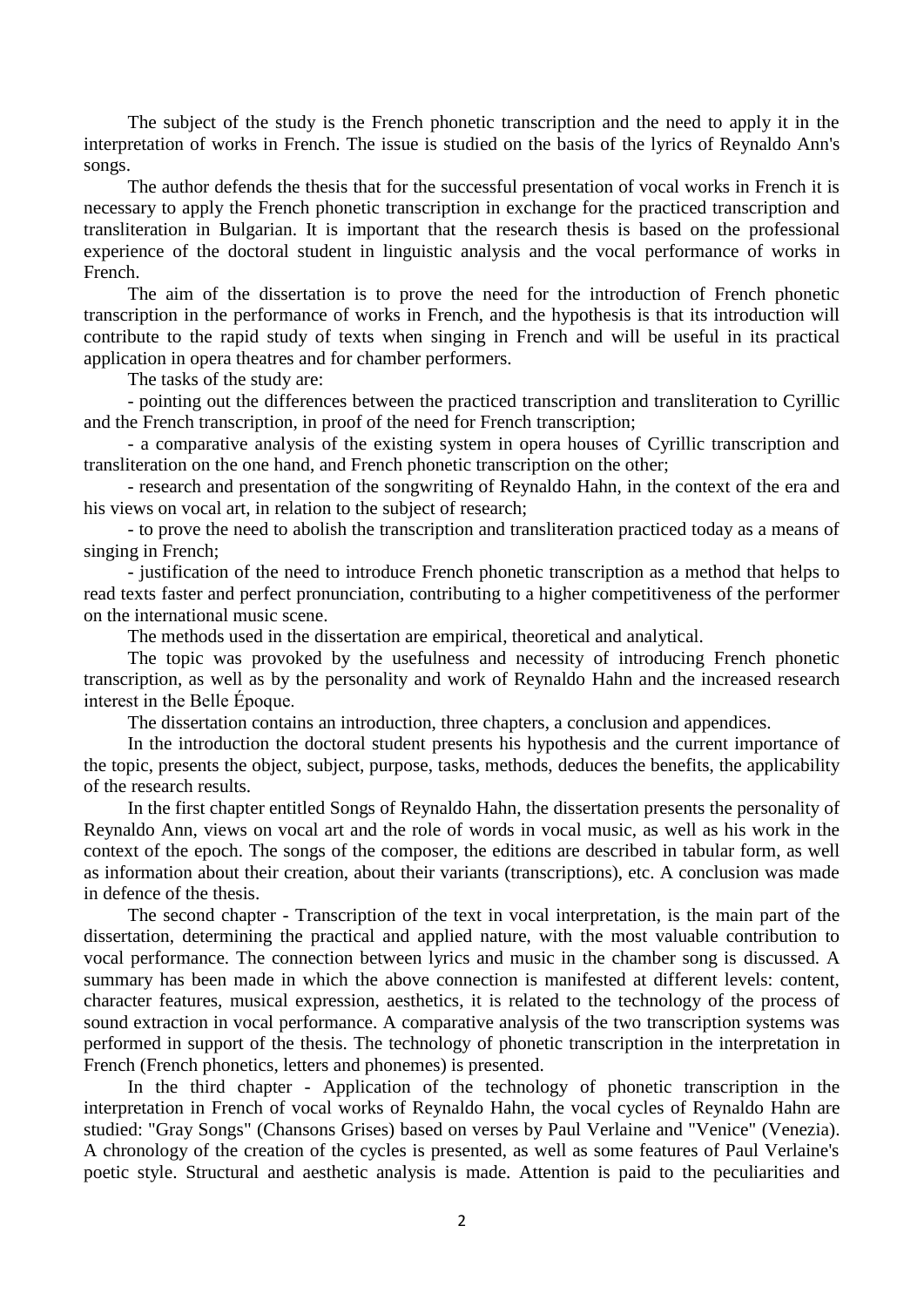The subject of the study is the French phonetic transcription and the need to apply it in the interpretation of works in French. The issue is studied on the basis of the lyrics of Reynaldo Ann's songs.

The author defends the thesis that for the successful presentation of vocal works in French it is necessary to apply the French phonetic transcription in exchange for the practiced transcription and transliteration in Bulgarian. It is important that the research thesis is based on the professional experience of the doctoral student in linguistic analysis and the vocal performance of works in French.

The aim of the dissertation is to prove the need for the introduction of French phonetic transcription in the performance of works in French, and the hypothesis is that its introduction will contribute to the rapid study of texts when singing in French and will be useful in its practical application in opera theatres and for chamber performers.

The tasks of the study are:

- pointing out the differences between the practiced transcription and transliteration to Cyrillic and the French transcription, in proof of the need for French transcription;

- a comparative analysis of the existing system in opera houses of Cyrillic transcription and transliteration on the one hand, and French phonetic transcription on the other;

- research and presentation of the songwriting of Reynaldo Hahn, in the context of the era and his views on vocal art, in relation to the subject of research;

- to prove the need to abolish the transcription and transliteration practiced today as a means of singing in French;

- justification of the need to introduce French phonetic transcription as a method that helps to read texts faster and perfect pronunciation, contributing to a higher competitiveness of the performer on the international music scene.

The methods used in the dissertation are empirical, theoretical and analytical.

The topic was provoked by the usefulness and necessity of introducing French phonetic transcription, as well as by the personality and work of Reynaldo Hahn and the increased research interest in the Belle Époque.

The dissertation contains an introduction, three chapters, a conclusion and appendices.

In the introduction the doctoral student presents his hypothesis and the current importance of the topic, presents the object, subject, purpose, tasks, methods, deduces the benefits, the applicability of the research results.

In the first chapter entitled Songs of Reynaldo Hahn, the dissertation presents the personality of Reynaldo Ann, views on vocal art and the role of words in vocal music, as well as his work in the context of the epoch. The songs of the composer, the editions are described in tabular form, as well as information about their creation, about their variants (transcriptions), etc. A conclusion was made in defence of the thesis.

The second chapter - Transcription of the text in vocal interpretation, is the main part of the dissertation, determining the practical and applied nature, with the most valuable contribution to vocal performance. The connection between lyrics and music in the chamber song is discussed. A summary has been made in which the above connection is manifested at different levels: content, character features, musical expression, aesthetics, it is related to the technology of the process of sound extraction in vocal performance. A comparative analysis of the two transcription systems was performed in support of the thesis. The technology of phonetic transcription in the interpretation in French (French phonetics, letters and phonemes) is presented.

In the third chapter - Application of the technology of phonetic transcription in the interpretation in French of vocal works of Reynaldo Hahn, the vocal cycles of Reynaldo Hahn are studied: "Gray Songs" (Chansons Grises) based on verses by Paul Verlaine and "Venice" (Venezia). A chronology of the creation of the cycles is presented, as well as some features of Paul Verlaine's poetic style. Structural and aesthetic analysis is made. Attention is paid to the peculiarities and